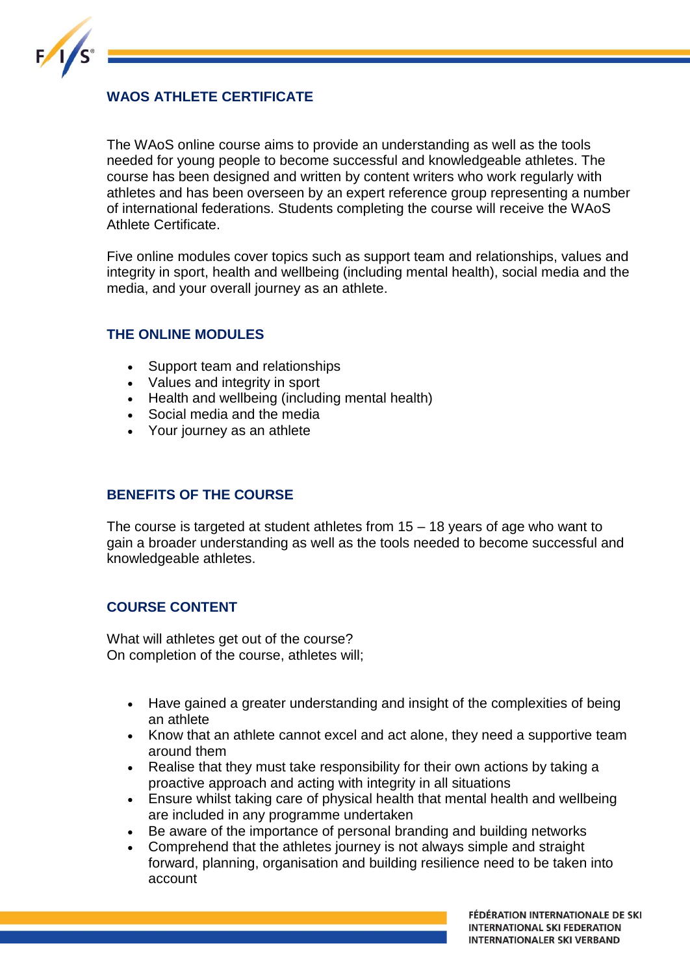

# **WAOS ATHLETE CERTIFICATE**

The WAoS online course aims to provide an understanding as well as the tools needed for young people to become successful and knowledgeable athletes. The course has been designed and written by content writers who work regularly with athletes and has been overseen by an expert reference group representing a number of international federations. Students completing the course will receive the WAoS Athlete Certificate.

Five online modules cover topics such as support team and relationships, values and integrity in sport, health and wellbeing (including mental health), social media and the media, and your overall journey as an athlete.

#### **THE ONLINE MODULES**

- Support team and relationships
- Values and integrity in sport
- Health and wellbeing (including mental health)
- Social media and the media
- Your journey as an athlete

### **BENEFITS OF THE COURSE**

The course is targeted at student athletes from 15 – 18 years of age who want to gain a broader understanding as well as the tools needed to become successful and knowledgeable athletes.

## **COURSE CONTENT**

What will athletes get out of the course? On completion of the course, athletes will;

- Have gained a greater understanding and insight of the complexities of being an athlete
- Know that an athlete cannot excel and act alone, they need a supportive team around them
- Realise that they must take responsibility for their own actions by taking a proactive approach and acting with integrity in all situations
- Ensure whilst taking care of physical health that mental health and wellbeing are included in any programme undertaken
- Be aware of the importance of personal branding and building networks
- Comprehend that the athletes journey is not always simple and straight forward, planning, organisation and building resilience need to be taken into account

FÉDÉRATION INTERNATIONALE DE SKI **INTERNATIONAL SKI FEDERATION INTERNATIONALER SKI VERBAND**